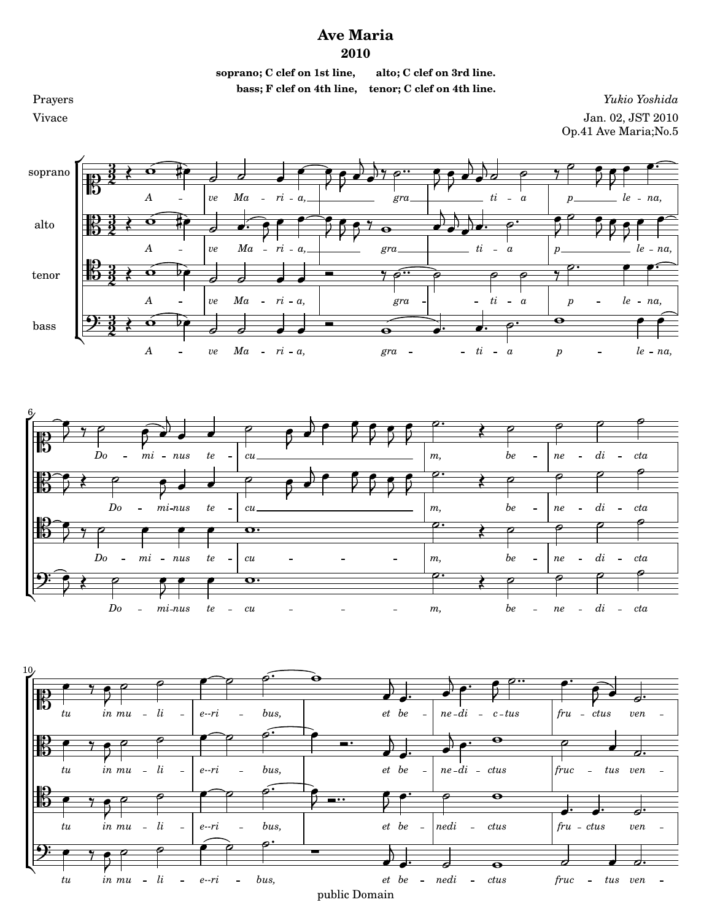## **Ave Maria 2010**



*[fru](textedit:///mnt/c/yukio/sheet-poem.com/2008-2011/2010/ave-maria/ave-maria.ly:192:27:28)* - [ctus](textedit:///mnt/c/yukio/sheet-poem.com/2008-2011/2010/ave-maria/ave-maria.ly:192:34:35) -*[mu](textedit:///mnt/c/yukio/sheet-poem.com/2008-2011/2010/ave-maria/ave-maria.ly:191:33:34) [in](textedit:///mnt/c/yukio/sheet-poem.com/2008-2011/2010/ave-maria/ave-maria.ly:191:30:31) [li](textedit:///mnt/c/yukio/sheet-poem.com/2008-2011/2010/ave-maria/ave-maria.ly:191:39:40) [bus,](textedit:///mnt/c/yukio/sheet-poem.com/2008-2011/2010/ave-maria/ave-maria.ly:191:54:55) [nedi](textedit:///mnt/c/yukio/sheet-poem.com/2008-2011/2010/ave-maria/ave-maria.ly:192:14:15) [tu](textedit:///mnt/c/yukio/sheet-poem.com/2008-2011/2010/ave-maria/ave-maria.ly:191:27:28) [e--ri](textedit:///mnt/c/yukio/sheet-poem.com/2008-2011/2010/ave-maria/ave-maria.ly:191:45:46)*  $\overline{a}$ *[ctus](textedit:///mnt/c/yukio/sheet-poem.com/2008-2011/2010/ave-maria/ave-maria.ly:192:22:23) [ven](textedit:///mnt/c/yukio/sheet-poem.com/2008-2011/2010/ave-maria/ave-maria.ly:192:39:40)*  $\overline{a}$ *[be](textedit:///mnt/c/yukio/sheet-poem.com/2008-2011/2010/ave-maria/ave-maria.ly:192:8:9) [et](textedit:///mnt/c/yukio/sheet-poem.com/2008-2011/2010/ave-maria/ave-maria.ly:192:5:6)*  $\overline{a}$ .<br>. P  $\overline{a}$ É  $\overline{P}$ <u>):</u>  $\overline{P}$ =  $\overline{\mathbf{r}}$  $\overline{\mathcal{C}}$  $\overline{y}$  $\overline{\mathbf{5}}$  $\overline{\phantom{a}}$  $\ddot{\phantom{0}}$  $\overline{\phantom{a}}$  $\overline{\phantom{a}}$  $\overline{\phantom{a}}$  $\overline{\phantom{a}}$  *[be](textedit:///mnt/c/yukio/sheet-poem.com/2008-2011/2010/ave-maria/ave-maria.ly:250:7:8) [et](textedit:///mnt/c/yukio/sheet-poem.com/2008-2011/2010/ave-maria/ave-maria.ly:250:4:5) [nedi](textedit:///mnt/c/yukio/sheet-poem.com/2008-2011/2010/ave-maria/ave-maria.ly:250:13:14)*  $\mathsf{R}$  $\overline{\mathbf{e}}$ -*[mu](textedit:///mnt/c/yukio/sheet-poem.com/2008-2011/2010/ave-maria/ave-maria.ly:249:32:33) [in](textedit:///mnt/c/yukio/sheet-poem.com/2008-2011/2010/ave-maria/ave-maria.ly:249:29:30) [tu](textedit:///mnt/c/yukio/sheet-poem.com/2008-2011/2010/ave-maria/ave-maria.ly:249:26:27) [li](textedit:///mnt/c/yukio/sheet-poem.com/2008-2011/2010/ave-maria/ave-maria.ly:249:38:39)*  $\equiv$  $\overline{a}$ *[e--ri](textedit:///mnt/c/yukio/sheet-poem.com/2008-2011/2010/ave-maria/ave-maria.ly:249:44:45)*  $\overline{a}$ *[bus,](textedit:///mnt/c/yukio/sheet-poem.com/2008-2011/2010/ave-maria/ave-maria.ly:249:53:54)*  $\Delta \sim$  $\overline{a}$ *[ctus](textedit:///mnt/c/yukio/sheet-poem.com/2008-2011/2010/ave-maria/ave-maria.ly:250:21:22) [fruc](textedit:///mnt/c/yukio/sheet-poem.com/2008-2011/2010/ave-maria/ave-maria.ly:250:26:27)*  $\overline{a}$ *[tus](textedit:///mnt/c/yukio/sheet-poem.com/2008-2011/2010/ave-maria/ave-maria.ly:250:34:35) [ven](textedit:///mnt/c/yukio/sheet-poem.com/2008-2011/2010/ave-maria/ave-maria.ly:250:38:39)*  $\overline{a}$ public Domain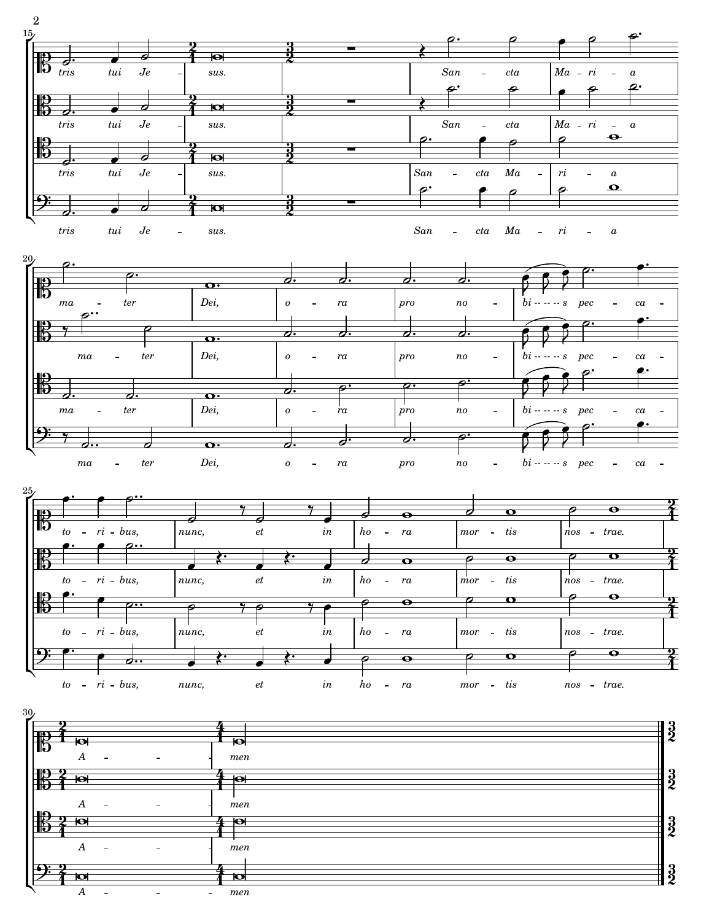

*[A](textedit:///mnt/c/yukio/sheet-poem.com/2008-2011/2010/ave-maria/ave-maria.ly:255:4:5)*  $\overline{a}$